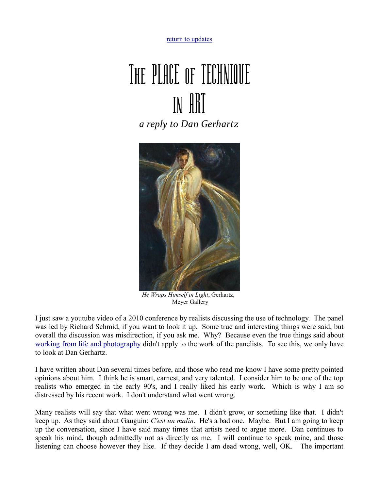[return to updates](http://mileswmathis.com/updates.html)

## The PLACE of TECHNIQUE in ART *a reply to Dan Gerhartz*



 *He Wraps Himself in Light*, Gerhartz, Meyer Gallery

I just saw a youtube video of a 2010 conference by realists discussing the use of technology. The panel was led by Richard Schmid, if you want to look it up. Some true and interesting things were said, but overall the discussion was misdirection, if you ask me. Why? Because even the true things said about [working from life and photography](http://mileswmathis.com/life.html) didn't apply to the work of the panelists. To see this, we only have to look at Dan Gerhartz.

I have written about Dan several times before, and those who read me know I have some pretty pointed opinions about him. I think he is smart, earnest, and very talented. I consider him to be one of the top realists who emerged in the early 90's, and I really liked his early work. Which is why I am so distressed by his recent work. I don't understand what went wrong.

Many realists will say that what went wrong was me. I didn't grow, or something like that. I didn't keep up. As they said about Gauguin: *C'est un malin*. He's a bad one. Maybe. But I am going to keep up the conversation, since I have said many times that artists need to argue more. Dan continues to speak his mind, though admittedly not as directly as me. I will continue to speak mine, and those listening can choose however they like. If they decide I am dead wrong, well, OK. The important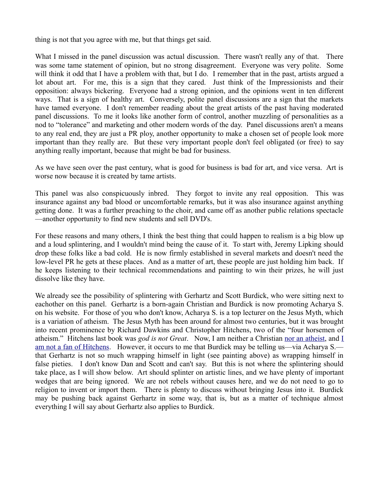thing is not that you agree with me, but that things get said.

What I missed in the panel discussion was actual discussion. There wasn't really any of that. There was some tame statement of opinion, but no strong disagreement. Everyone was very polite. Some will think it odd that I have a problem with that, but I do. I remember that in the past, artists argued a lot about art. For me, this is a sign that they cared. Just think of the Impressionists and their opposition: always bickering. Everyone had a strong opinion, and the opinions went in ten different ways. That is a sign of healthy art. Conversely, polite panel discussions are a sign that the markets have tamed everyone. I don't remember reading about the great artists of the past having moderated panel discussions. To me it looks like another form of control, another muzzling of personalities as a nod to "tolerance" and marketing and other modern words of the day. Panel discussions aren't a means to any real end, they are just a PR ploy, another opportunity to make a chosen set of people look more important than they really are. But these very important people don't feel obligated (or free) to say anything really important, because that might be bad for business.

As we have seen over the past century, what is good for business is bad for art, and vice versa. Art is worse now because it is created by tame artists.

This panel was also conspicuously inbred. They forgot to invite any real opposition. This was insurance against any bad blood or uncomfortable remarks, but it was also insurance against anything getting done. It was a further preaching to the choir, and came off as another public relations spectacle —another opportunity to find new students and sell DVD's.

For these reasons and many others, I think the best thing that could happen to realism is a big blow up and a loud splintering, and I wouldn't mind being the cause of it. To start with, Jeremy Lipking should drop these folks like a bad cold. He is now firmly established in several markets and doesn't need the low-level PR he gets at these places. And as a matter of art, these people are just holding him back. If he keeps listening to their technical recommendations and painting to win their prizes, he will just dissolve like they have.

We already see the possibility of splintering with Gerhartz and Scott Burdick, who were sitting next to eachother on this panel. Gerhartz is a born-again Christian and Burdick is now promoting Acharya S. on his website. For those of you who don't know, Acharya S. is a top lecturer on the Jesus Myth, which is a variation of atheism. The Jesus Myth has been around for almost two centuries, but it was brought into recent prominence by Richard Dawkins and Christopher Hitchens, two of the "four horsemen of atheism." Hitchens last book was *god is not Great*. Now, I am neither a Christian [nor an atheist,](http://mileswmathis.com/atheism.html) and [I](http://mileswmathis.com/hitch.html) [am not a fan of Hitchens.](http://mileswmathis.com/hitch.html) However, it occurs to me that Burdick may be telling us—via Acharya S. that Gerhartz is not so much wrapping himself in light (see painting above) as wrapping himself in false pieties. I don't know Dan and Scott and can't say. But this is not where the splintering should take place, as I will show below. Art should splinter on artistic lines, and we have plenty of important wedges that are being ignored. We are not rebels without causes here, and we do not need to go to religion to invent or import them. There is plenty to discuss without bringing Jesus into it. Burdick may be pushing back against Gerhartz in some way, that is, but as a matter of technique almost everything I will say about Gerhartz also applies to Burdick.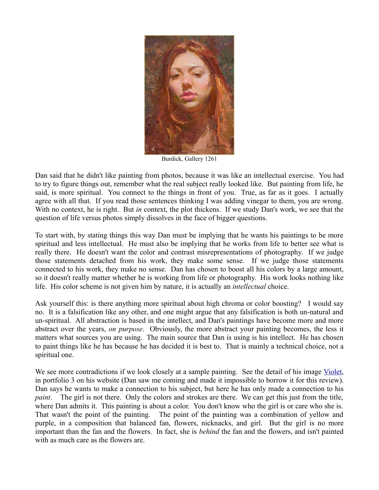

Burdick, Gallery 1261

Dan said that he didn't like painting from photos, because it was like an intellectual exercise. You had to try to figure things out, remember what the real subject really looked like. But painting from life, he said, is more spiritual. You connect to the things in front of you. True, as far as it goes. I actually agree with all that. If you read those sentences thinking I was adding vinegar to them, you are wrong. With no context, he is right. But *in* context, the plot thickens. If we study Dan's work, we see that the question of life versus photos simply dissolves in the face of bigger questions.

To start with, by stating things this way Dan must be implying that he wants his paintings to be more spiritual and less intellectual. He must also be implying that he works from life to better see what is really there. He doesn't want the color and contrast misrepresentations of photography. If we judge those statements detached from his work, they make some sense. If we judge those statements connected to his work, they make no sense. Dan has chosen to boost all his colors by a large amount, so it doesn't really matter whether he is working from life or photography. His work looks nothing like life. His color scheme is not given him by nature, it is actually an *intellectual* choice.

Ask yourself this: is there anything more spiritual about high chroma or color boosting? I would say no. It is a falsification like any other, and one might argue that any falsification is both un-natural and un-spiritual. All abstraction is based in the intellect, and Dan's paintings have become more and more abstract over the years, *on purpose*. Obviously, the more abstract your painting becomes, the less it matters what sources you are using. The main source that Dan is using is his intellect. He has chosen to paint things like he has because he has decided it is best to. That is mainly a technical choice, not a spiritual one.

We see more contradictions if we look closely at a sample painting. See the detail of his image [Violet,](http://www.danielgerhartz.com/3/artist.asp?ArtistID=32051&Akey=23SWCG6T) in portfolio 3 on his website (Dan saw me coming and made it impossible to borrow it for this review). Dan says he wants to make a connection to his subject, but here he has only made a connection to his *paint*. The girl is not there. Only the colors and strokes are there. We can get this just from the title, where Dan admits it. This painting is about a color. You don't know who the girl is or care who she is. That wasn't the point of the painting. The point of the painting was a combination of yellow and purple, in a composition that balanced fan, flowers, nicknacks, and girl. But the girl is no more important than the fan and the flowers. In fact, she is *behind* the fan and the flowers, and isn't painted with as much care as the flowers are.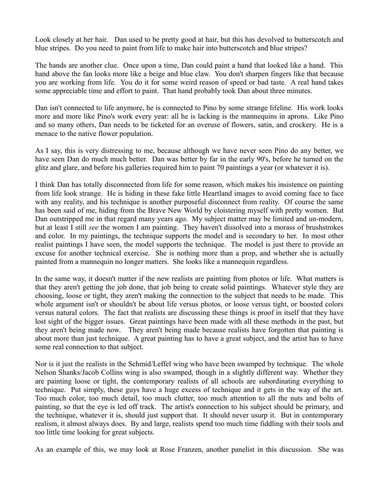Look closely at her hair. Dan used to be pretty good at hair, but this has devolved to butterscotch and blue stripes. Do you need to paint from life to make hair into butterscotch and blue stripes?

The hands are another clue. Once upon a time, Dan could paint a hand that looked like a hand. This hand above the fan looks more like a beige and blue claw. You don't sharpen fingers like that because you are working from life. You do it for some weird reason of speed or bad taste. A real hand takes some appreciable time and effort to paint. That hand probably took Dan about three minutes.

Dan isn't connected to life anymore, he is connected to Pino by some strange lifeline. His work looks more and more like Pino's work every year: all he is lacking is the mannequins in aprons. Like Pino and so many others, Dan needs to be ticketed for an overuse of flowers, satin, and crockery. He is a menace to the native flower population.

As I say, this is very distressing to me, because although we have never seen Pino do any better, we have seen Dan do much much better. Dan was better by far in the early 90's, before he turned on the glitz and glare, and before his galleries required him to paint 70 paintings a year (or whatever it is).

I think Dan has totally disconnected from life for some reason, which makes his insistence on painting from life look strange. He is hiding in these fake little Heartland images to avoid coming face to face with any reality, and his technique is another purposeful disconnect from reality. Of course the same has been said of me, hiding from the Brave New World by cloistering myself with pretty women. But Dan outstripped me in that regard many years ago. My subject matter may be limited and un-modern, but at least I still *see* the women I am painting. They haven't dissolved into a morass of brushstrokes and color. In my paintings, the technique supports the model and is secondary to her. In most other realist paintings I have seen, the model supports the technique. The model is just there to provide an excuse for another technical exercise. She is nothing more than a prop, and whether she is actually painted from a mannequin no longer matters. She looks like a mannequin regardless.

In the same way, it doesn't matter if the new realists are painting from photos or life. What matters is that they aren't getting the job done, that job being to create solid paintings. Whatever style they are choosing, loose or tight, they aren't making the connection to the subject that needs to be made. This whole argument isn't or shouldn't be about life versus photos, or loose versus tight, or boosted colors versus natural colors. The fact that realists are discussing these things is proof in itself that they have lost sight of the bigger issues. Great paintings have been made with all these methods in the past, but they aren't being made now. They aren't being made because realists have forgotten that painting is about more than just technique. A great painting has to have a great subject, and the artist has to have some real connection to that subject.

Nor is it just the realists in the Schmid/Leffel wing who have been swamped by technique. The whole Nelson Shanks/Jacob Collins wing is also swamped, though in a slightly different way. Whether they are painting loose or tight, the contemporary realists of all schools are subordinating everything to technique. Put simply, these guys have a huge excess of technique and it gets in the way of the art. Too much color, too much detail, too much clutter, too much attention to all the nuts and bolts of painting, so that the eye is led off track. The artist's connection to his subject should be primary, and the technique, whatever it is, should just support that. It should never usurp it. But in contemporary realism, it almost always does. By and large, realists spend too much time fiddling with their tools and too little time looking for great subjects.

As an example of this, we may look at Rose Franzen, another panelist in this discussion. She was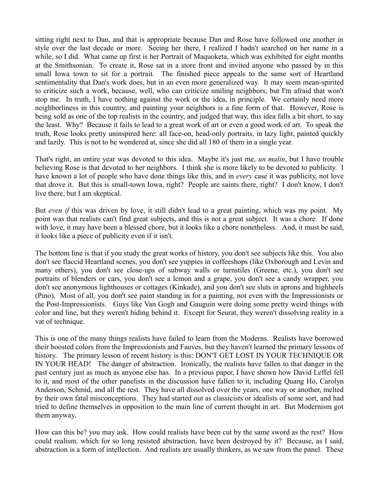sitting right next to Dan, and that is appropriate because Dan and Rose have followed one another in style over the last decade or more. Seeing her there, I realized I hadn't searched on her name in a while, so I did. What came up first is her Portrait of Maquoketa, which was exhibited for eight months at the Smithsonian. To create it, Rose sat in a store front and invited anyone who passed by in this small Iowa town to sit for a portrait. The finished piece appeals to the same sort of Heartland sentimentality that Dan's work does, but in an even more generalized way. It may seem mean-spirited to criticize such a work, because, well, who can criticize smiling neighbors, but I'm afraid that won't stop me. In truth, I have nothing against the work or the idea, in principle. We certainly need more neighborliness in this country, and painting your neighbors is a fine form of that. However, Rose is being sold as one of the top realists in the country, and judged that way, this idea falls a bit short, to say the least. Why? Because it fails to lead to a great work of art or even a good work of art. To speak the truth, Rose looks pretty uninspired here: all face-on, head-only portraits, in lazy light, painted quickly and lazily. This is not to be wondered at, since she did all 180 of them in a single year.

That's right, an entire year was devoted to this idea. Maybe it's just me, *un malin*, but I have trouble believing Rose is that devoted to her neighbors. I think she is more likely to be devoted to publicity. I have known a lot of people who have done things like this, and in *every* case it was publicity, not love that drove it. But this is small-town Iowa, right? People are saints there, right? I don't know, I don't live there, but I am skeptical.

But *even if* this was driven by love, it still didn't lead to a great painting, which was my point. My point was that realists can't find great subjects, and this is not a great subject. It was a chore. If done with love, it may have been a blessed chore, but it looks like a chore nonetheless. And, it must be said, it looks like a piece of publicity even if it isn't.

The bottom line is that if you study the great works of history, you don't see subjects like this. You also don't see flaccid Heartland scenes, you don't see yuppies in coffeeshops (like Oxborough and Levin and many others), you don't see close-ups of subway walls or turnstiles (Greene, etc.), you don't see portraits of blenders or cars, you don't see a lemon and a grape, you don't see a candy wrapper, you don't see anonymous lighthouses or cottages (Kinkade), and you don't see sluts in aprons and highheels (Pino). Most of all, you don't see paint standing in for a painting, not even with the Impressionists or the Post-Impressionists. Guys like Van Gogh and Gauguin were doing some pretty weird things with color and line, but they weren't hiding behind it. Except for Seurat, they weren't dissolving reality in a vat of technique.

This is one of the many things realists have failed to learn from the Moderns. Realists have borrowed their boosted colors from the Impressionists and Fauves, but they haven't learned the primary lessons of history. The primary lesson of recent history is this: DON'T GET LOST IN YOUR TECHNIQUE OR IN YOUR HEAD! The danger of abstraction. Ironically, the realists have fallen to that danger in the past century just as much as anyone else has. In a previous paper, I have shown how David Leffel fell to it, and most of the other panelists in the discussion have fallen to it, including Quang Ho, Carolyn Anderson, Schmid, and all the rest. They have all dissolved over the years, one way or another, melted by their own fatal misconceptions. They had started out as classicists or idealists of some sort, and had tried to define themselves in opposition to the main line of current thought in art. But Modernism got them anyway.

How can this be? you may ask. How could realists have been cut by the same sword as the rest? How could realism, which for so long resisted abstraction, have been destroyed by it? Because, as I said, abstraction is a form of intellection. And realists are usually thinkers, as we saw from the panel. These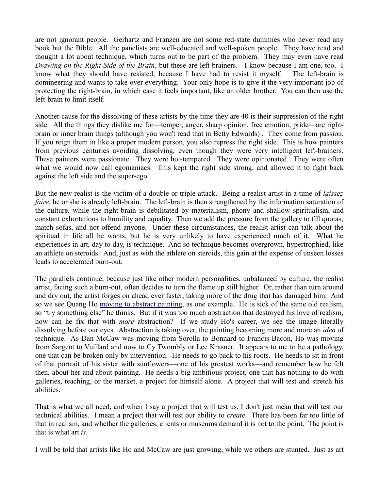are not ignorant people. Gerhartz and Franzen are not some red-state dummies who never read any book but the Bible. All the panelists are well-educated and well-spoken people. They have read and thought a lot about technique, which turns out to be part of the problem. They may even have read *Drawing on the Right Side of the Brain*, but these are left brainers. I know because I am one, too. I know what they should have resisted, because I have had to resist it myself. The left-brain is domineering and wants to take over everything. Your only hope is to give it the very important job of protecting the right-brain, in which case it feels important, like an older brother. You can then use the left-brain to limit itself.

Another cause for the dissolving of these artists by the time they are 40 is their suppression of the right side. All the things they dislike me for—temper, anger, sharp opinion, free emotion, pride—are rightbrain or inner brain things (although you won't read that in Betty Edwards) . They come from passion. If you reign them in like a proper modern person, you also repress the right side. This is how painters from previous centuries avoiding dissolving, even though they were very intelligent left-brainers. These painters were passionate. They were hot-tempered. They were opinionated. They were often what we would now call egomaniacs. This kept the right side strong, and allowed it to fight back against the left side and the super-ego.

But the new realist is the victim of a double or triple attack. Being a realist artist in a time of *laissez faire*, he or she is already left-brain. The left-brain is then strengthened by the information saturation of the culture, while the right-brain is debilitated by materialism, phony and shallow spiritualism, and constant exhortations to humility and equality. Then we add the pressure from the gallery to fill quotas, match sofas, and not offend anyone. Under these circumstances, the realist artist can talk about the spiritual in life all he wants, but he is very unlikely to have experienced much of it. What he experiences in art, day to day, is technique. And so technique becomes overgrown, hypertrophied, like an athlete on steroids. And, just as with the athlete on steroids, this gain at the expense of unseen losses leads to accelerated burn-out.

The parallels continue, because just like other modern personalities, unbalanced by culture, the realist artist, facing such a burn-out, often decides to turn the flame up still higher. Or, rather than turn around and dry out, the artist forges on ahead ever faster, taking more of the drug that has damaged him. And so we see Quang Ho [moving to abstract painting,](http://www.gallery1261.com/html_artists/ho/ho-quang-immigrant.htm) as one example. He is sick of the same old realism, so "try something else" he thinks. But if it was too much abstraction that destroyed his love of realism, how can he fix that with *more* abstraction? If we study Ho's career, we see the image literally dissolving before our eyes. Abstraction is taking over, the painting becoming more and more an *idea* of technique. As Dan McCaw was moving from Sorolla to Bonnard to Francis Bacon, Ho was moving from Sargent to Vuillard and now to Cy Twombly or Lee Krasner. It appears to me to be a pathology, one that can be broken only by intervention. He needs to go back to his roots. He needs to sit in front of that portrait of his sister with sunflowers—one of his greatest works—and remember how he felt then, about her and about painting. He needs a big ambitious project, one that has nothing to do with galleries, teaching, or the market, a project for himself alone. A project that will test and stretch his abilities.

That is what we all need, and when I say a project that will test us, I don't just mean that will test our technical abilities. I mean a project that will test our ability to *create*. There has been far too little of that in realism, and whether the galleries, clients or museums demand it is not to the point. The point is that is what art *is*.

I will be told that artists like Ho and McCaw are just growing, while we others are stunted. Just as art